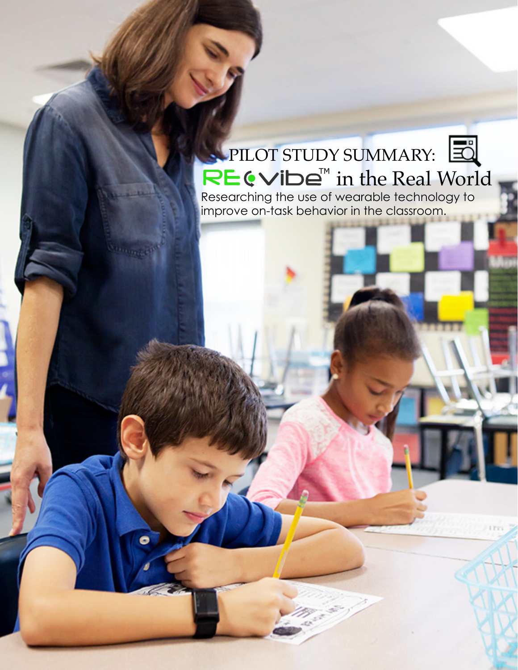# $\mathbf{I}^{\mathsf{M}}$  in the Real World PILOT STUDY SUMMARY:

Researching the use of wearable technology to improve on-task behavior in the classroom.

۰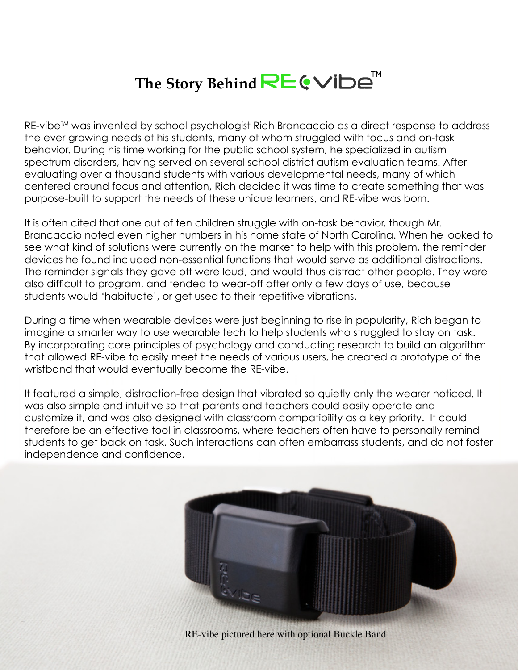## The Story Behind **RE ⊙**Vibe<sup>™</sup>

RE-vibe™ was invented by school psychologist Rich Brancaccio as a direct response to address the ever growing needs of his students, many of whom struggled with focus and on-task behavior. During his time working for the public school system, he specialized in autism spectrum disorders, having served on several school district autism evaluation teams. After evaluating over a thousand students with various developmental needs, many of which centered around focus and attention, Rich decided it was time to create something that was purpose-built to support the needs of these unique learners, and RE-vibe was born.

It is often cited that one out of ten children struggle with on-task behavior, though Mr. Brancaccio noted even higher numbers in his home state of North Carolina. When he looked to see what kind of solutions were currently on the market to help with this problem, the reminder devices he found included non-essential functions that would serve as additional distractions. The reminder signals they gave off were loud, and would thus distract other people. They were also difficult to program, and tended to wear-off after only a few days of use, because students would 'habituate', or get used to their repetitive vibrations.

During a time when wearable devices were just beginning to rise in popularity, Rich began to imagine a smarter way to use wearable tech to help students who struggled to stay on task. By incorporating core principles of psychology and conducting research to build an algorithm that allowed RE-vibe to easily meet the needs of various users, he created a prototype of the wristband that would eventually become the RE-vibe.

It featured a simple, distraction-free design that vibrated so quietly only the wearer noticed. It was also simple and intuitive so that parents and teachers could easily operate and customize it, and was also designed with classroom compatibility as a key priority. It could therefore be an effective tool in classrooms, where teachers often have to personally remind students to get back on task. Such interactions can often embarrass students, and do not foster independence and confidence.



RE-vibe pictured here with optional Buckle Band.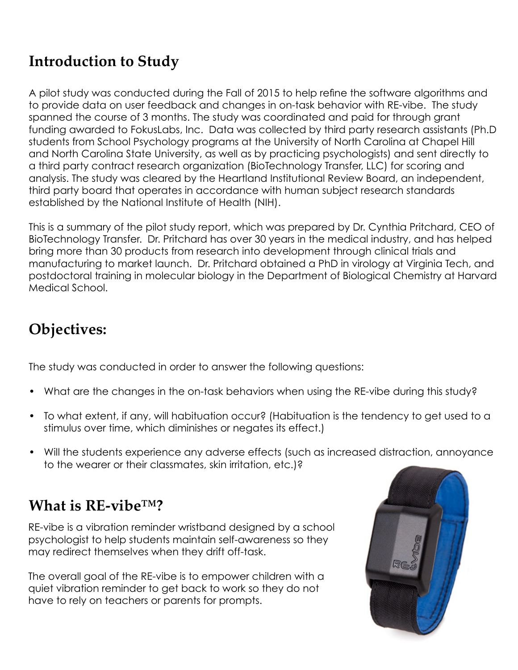### **Introduction to Study**

A pilot study was conducted during the Fall of 2015 to help refine the software algorithms and to provide data on user feedback and changes in on-task behavior with RE-vibe. The study spanned the course of 3 months. The study was coordinated and paid for through grant funding awarded to FokusLabs, Inc. Data was collected by third party research assistants (Ph.D students from School Psychology programs at the University of North Carolina at Chapel Hill and North Carolina State University, as well as by practicing psychologists) and sent directly to a third party contract research organization (BioTechnology Transfer, LLC) for scoring and analysis. The study was cleared by the Heartland Institutional Review Board, an independent, third party board that operates in accordance with human subject research standards established by the National Institute of Health (NIH).

This is a summary of the pilot study report, which was prepared by Dr. Cynthia Pritchard, CEO of BioTechnology Transfer. Dr. Pritchard has over 30 years in the medical industry, and has helped bring more than 30 products from research into development through clinical trials and manufacturing to market launch. Dr. Pritchard obtained a PhD in virology at Virginia Tech, and postdoctoral training in molecular biology in the Department of Biological Chemistry at Harvard Medical School.

### **Objectives:**

The study was conducted in order to answer the following questions:

- What are the changes in the on-task behaviors when using the RE-vibe during this study?
- To what extent, if any, will habituation occur? (Habituation is the tendency to get used to a stimulus over time, which diminishes or negates its effect.)
- Will the students experience any adverse effects (such as increased distraction, annoyance to the wearer or their classmates, skin irritation, etc.)?

#### **What is RE-vibe™?**

RE-vibe is a vibration reminder wristband designed by a school psychologist to help students maintain self-awareness so they may redirect themselves when they drift off-task.

The overall goal of the RE-vibe is to empower children with a quiet vibration reminder to get back to work so they do not have to rely on teachers or parents for prompts.

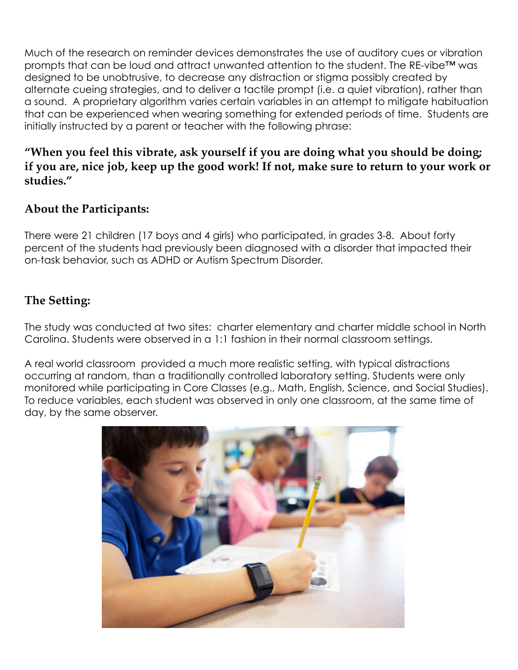Much of the research on reminder devices demonstrates the use of auditory cues or vibration prompts that can be loud and attract unwanted attention to the student. The RE-vibe™ was designed to be unobtrusive, to decrease any distraction or stigma possibly created by alternate cueing strategies, and to deliver a tactile prompt (i.e. a quiet vibration), rather than a sound. A proprietary algorithm varies certain variables in an attempt to mitigate habituation that can be experienced when wearing something for extended periods of time. Students are initially instructed by a parent or teacher with the following phrase:

#### **"When you feel this vibrate, ask yourself if you are doing what you should be doing; if you are, nice job, keep up the good work! If not, make sure to return to your work or studies."**

#### **About the Participants:**

There were 21 children (17 boys and 4 girls) who participated, in grades 3-8. About forty percent of the students had previously been diagnosed with a disorder that impacted their on-task behavior, such as ADHD or Autism Spectrum Disorder.

#### **The Setting:**

The study was conducted at two sites: charter elementary and charter middle school in North Carolina. Students were observed in a 1:1 fashion in their normal classroom settings.

A real world classroom provided a much more realistic setting, with typical distractions occurring at random, than a traditionally controlled laboratory setting. Students were only monitored while participating in Core Classes (e.g., Math, English, Science, and Social Studies). To reduce variables, each student was observed in only one classroom, at the same time of day, by the same observer.

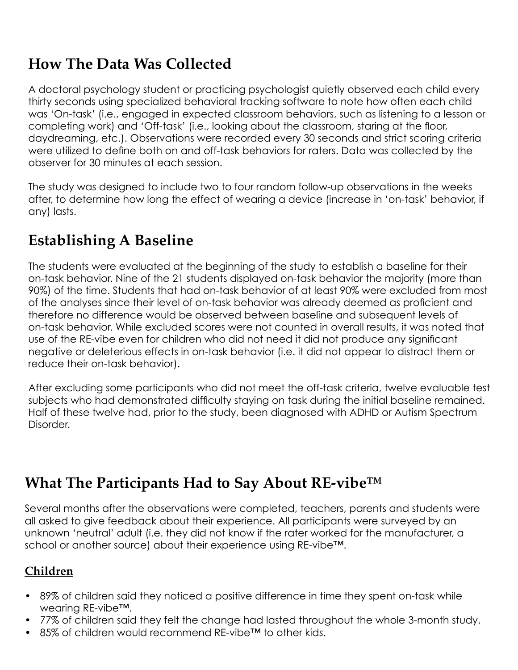### **How The Data Was Collected**

A doctoral psychology student or practicing psychologist quietly observed each child every thirty seconds using specialized behavioral tracking software to note how often each child was 'On-task' (i.e., engaged in expected classroom behaviors, such as listening to a lesson or completing work) and 'Off-task' (i.e., looking about the classroom, staring at the floor, daydreaming, etc.). Observations were recorded every 30 seconds and strict scoring criteria were utilized to define both on and off-task behaviors for raters. Data was collected by the observer for 30 minutes at each session.

The study was designed to include two to four random follow-up observations in the weeks after, to determine how long the effect of wearing a device (increase in 'on-task' behavior, if any) lasts.

### **Establishing A Baseline**

The students were evaluated at the beginning of the study to establish a baseline for their on-task behavior. Nine of the 21 students displayed on-task behavior the majority (more than 90%) of the time. Students that had on-task behavior of at least 90% were excluded from most of the analyses since their level of on-task behavior was already deemed as proficient and therefore no difference would be observed between baseline and subsequent levels of on-task behavior. While excluded scores were not counted in overall results, it was noted that use of the RE-vibe even for children who did not need it did not produce any significant negative or deleterious effects in on-task behavior (i.e. it did not appear to distract them or reduce their on-task behavior).

After excluding some participants who did not meet the off-task criteria, twelve evaluable test subjects who had demonstrated difficulty staying on task during the initial baseline remained. Half of these twelve had, prior to the study, been diagnosed with ADHD or Autism Spectrum Disorder.

### **What The Participants Had to Say About RE-vibe™**

Several months after the observations were completed, teachers, parents and students were all asked to give feedback about their experience. All participants were surveyed by an unknown 'neutral' adult (i.e. they did not know if the rater worked for the manufacturer, a school or another source) about their experience using RE-vibe™.

#### **Children**

- 89% of children said they noticed a positive difference in time they spent on-task while wearing RE-vibe™.
- 77% of children said they felt the change had lasted throughout the whole 3-month study.
- 85% of children would recommend RE-vibe™ to other kids.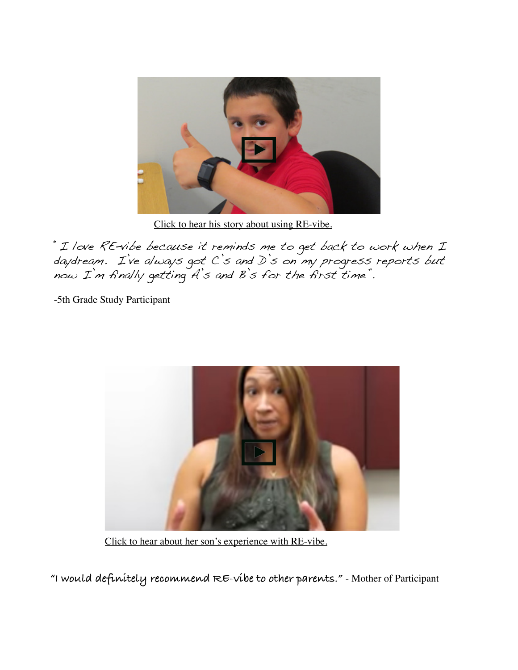

[Click to hear his story about using RE-vibe.](https://www.youtube.com/watch?v=ujlr1WLgiug)

"I love RE-vibe because it reminds me to get back to work when I daydream. I've always got C's and D's on my progress reports but now I'm finally getting A's and B's for the first time".

-5th Grade Study Participant



[Click to hear about her son's experience with RE-vibe.](https://www.youtube.com/watch?v=u_D_sc9diUk)

**"I would definitely recommend RE-vibe to other parents."** - Mother of Participant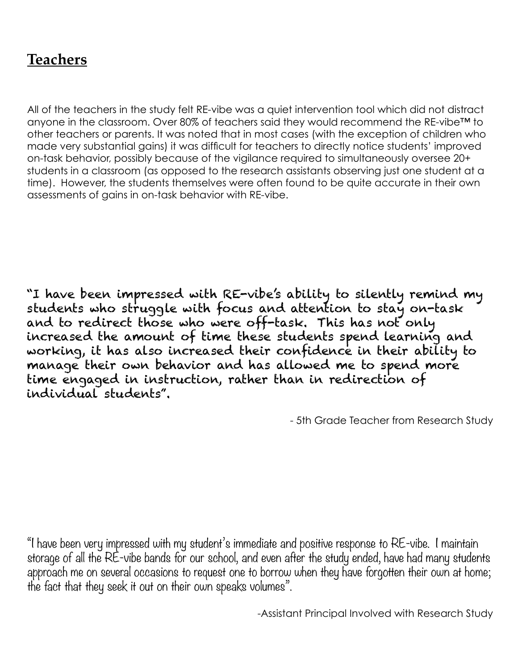#### **Teachers**

All of the teachers in the study felt RE-vibe was a quiet intervention tool which did not distract anyone in the classroom. Over 80% of teachers said they would recommend the RE-vibe™ to other teachers or parents. It was noted that in most cases (with the exception of children who made very substantial gains) it was difficult for teachers to directly notice students' improved on-task behavior, possibly because of the vigilance required to simultaneously oversee 20+ students in a classroom (as opposed to the research assistants observing just one student at a time). However, the students themselves were often found to be quite accurate in their own assessments of gains in on-task behavior with RE-vibe.

"I have been impressed with RE-vibe's ability to silently remind my students who struggle with focus and attention to stay on-task and to redirect those who were off-task. This has not only increased the amount of time these students spend learning and working, it has also increased their confidence in their ability to manage their own behavior and has allowed me to spend more time engaged in instruction, rather than in redirection of individual students".

- 5th Grade Teacher from Research Study

"I have been very impressed with my student's immediate and positive response to RE-vibe. I maintain storage of all the RE-vibe bands for our school, and even after the study ended, have had many students approach me on several occasions to request one to borrow when they have forgotten their own at home; the fact that they seek it out on their own speaks volumes".

-Assistant Principal Involved with Research Study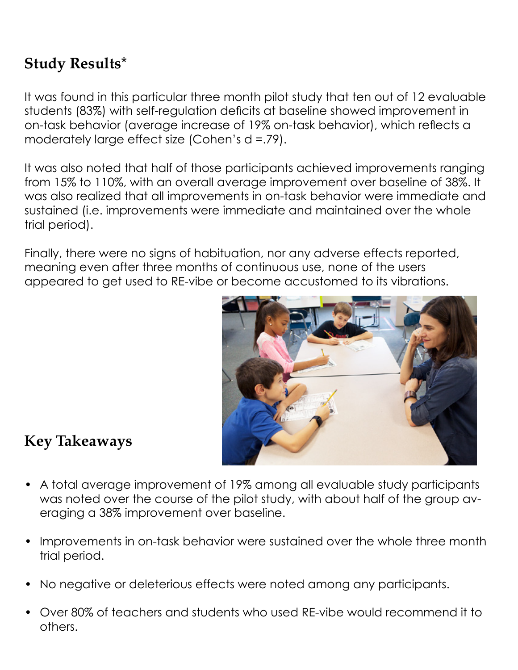### **Study Results\***

It was found in this particular three month pilot study that ten out of 12 evaluable students (83%) with self-regulation deficits at baseline showed improvement in on-task behavior (average increase of 19% on-task behavior), which reflects a moderately large effect size (Cohen's d =.79).

It was also noted that half of those participants achieved improvements ranging from 15% to 110%, with an overall average improvement over baseline of 38%. It was also realized that all improvements in on-task behavior were immediate and sustained (i.e. improvements were immediate and maintained over the whole trial period).

Finally, there were no signs of habituation, nor any adverse effects reported, meaning even after three months of continuous use, none of the users appeared to get used to RE-vibe or become accustomed to its vibrations.



#### **Key Takeaways**

- A total average improvement of 19% among all evaluable study participants was noted over the course of the pilot study, with about half of the group averaging a 38% improvement over baseline.
- Improvements in on-task behavior were sustained over the whole three month trial period.
- No negative or deleterious effects were noted among any participants.
- Over 80% of teachers and students who used RE-vibe would recommend it to others.